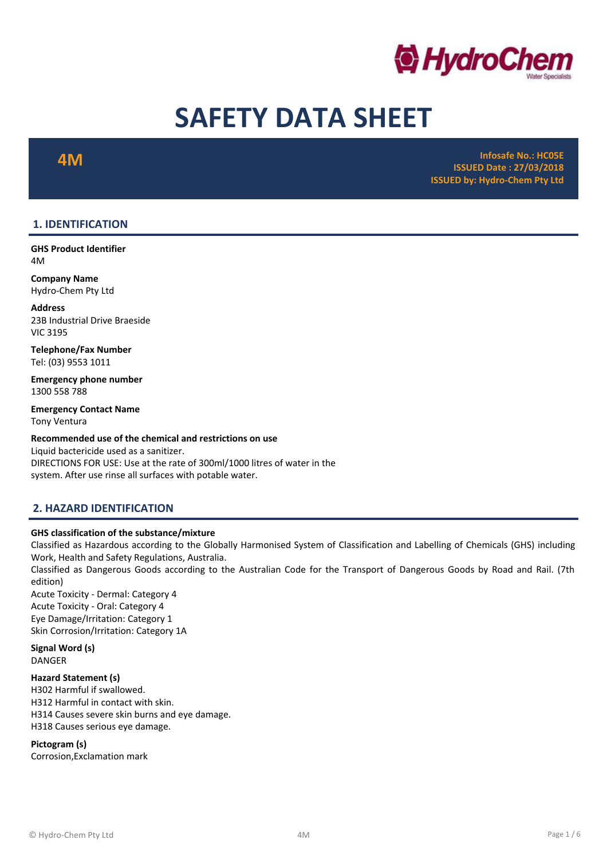

# SAFETY DATA SHEET

 $\mathbf{4M}$  infosafe No.: HC05E and the control of the control of the control of the control of the control of the control of the control of the control of the control of the control of the control of the control of the con ISSUED Date : 27/03/2018 ISSUED by: Hydro-Chem Pty Ltd

# 1. IDENTIFICATION

GHS Product Identifier 4M

Company Name Hydro-Chem Pty Ltd

Address 23B Industrial Drive Braeside VIC 3195

Telephone/Fax Number Tel: (03) 9553 1011

Emergency phone number 1300 558 788

Emergency Contact Name Tony Ventura

#### Recommended use of the chemical and restrictions on use

Liquid bactericide used as a sanitizer. DIRECTIONS FOR USE: Use at the rate of 300ml/1000 litres of water in the system. After use rinse all surfaces with potable water.

# 2. HAZARD IDENTIFICATION

#### GHS classification of the substance/mixture

Classified as Hazardous according to the Globally Harmonised System of Classification and Labelling of Chemicals (GHS) including Work, Health and Safety Regulations, Australia.

Classified as Dangerous Goods according to the Australian Code for the Transport of Dangerous Goods by Road and Rail. (7th edition)

Acute Toxicity - Dermal: Category 4 Acute Toxicity - Oral: Category 4 Eye Damage/Irritation: Category 1 Skin Corrosion/Irritation: Category 1A

Signal Word (s) DANGER

Hazard Statement (s) H302 Harmful if swallowed. H312 Harmful in contact with skin. H314 Causes severe skin burns and eye damage. H318 Causes serious eye damage.

Pictogram (s)

Corrosion,Exclamation mark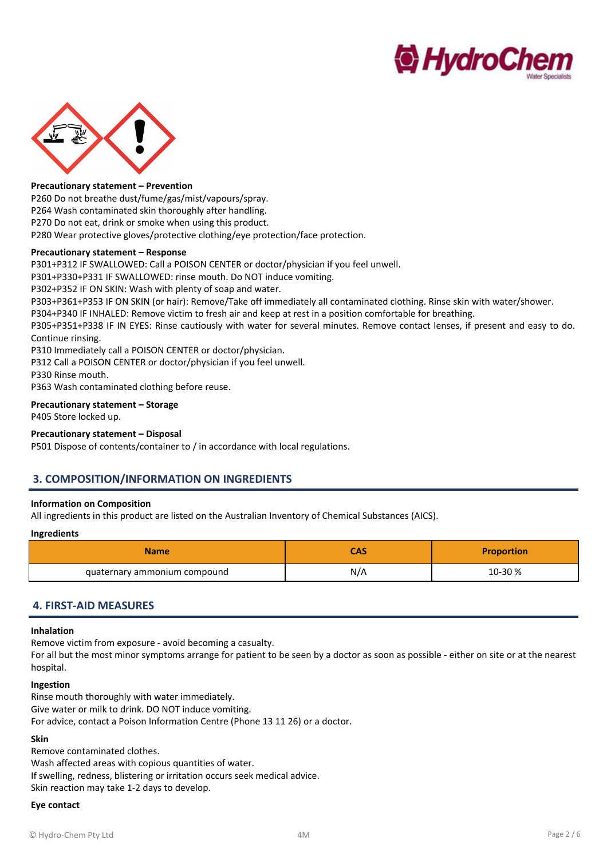



#### Precautionary statement – Prevention

P260 Do not breathe dust/fume/gas/mist/vapours/spray. P264 Wash contaminated skin thoroughly after handling. P270 Do not eat, drink or smoke when using this product.

P280 Wear protective gloves/protective clothing/eye protection/face protection.

#### Precautionary statement – Response

P301+P312 IF SWALLOWED: Call a POISON CENTER or doctor/physician if you feel unwell.

P301+P330+P331 IF SWALLOWED: rinse mouth. Do NOT induce vomiting.

P302+P352 IF ON SKIN: Wash with plenty of soap and water.

P303+P361+P353 IF ON SKIN (or hair): Remove/Take off immediately all contaminated clothing. Rinse skin with water/shower.

P304+P340 IF INHALED: Remove victim to fresh air and keep at rest in a position comfortable for breathing.

P305+P351+P338 IF IN EYES: Rinse cautiously with water for several minutes. Remove contact lenses, if present and easy to do. Continue rinsing.

P310 Immediately call a POISON CENTER or doctor/physician.

P312 Call a POISON CENTER or doctor/physician if you feel unwell.

P330 Rinse mouth.

P363 Wash contaminated clothing before reuse.

#### Precautionary statement – Storage

P405 Store locked up.

#### Precautionary statement – Disposal

P501 Dispose of contents/container to / in accordance with local regulations.

### 3. COMPOSITION/INFORMATION ON INGREDIENTS

#### Information on Composition

All ingredients in this product are listed on the Australian Inventory of Chemical Substances (AICS).

#### Ingredients

| <b>Name</b>                  |     | <b>Proportion</b> |
|------------------------------|-----|-------------------|
| quaternary ammonium compound | N/A | 10-30 %           |

### 4. FIRST-AID MEASURES

#### Inhalation

Remove victim from exposure - avoid becoming a casualty.

For all but the most minor symptoms arrange for patient to be seen by a doctor as soon as possible - either on site or at the nearest hospital.

#### Ingestion

Rinse mouth thoroughly with water immediately. Give water or milk to drink. DO NOT induce vomiting. For advice, contact a Poison Information Centre (Phone 13 11 26) or a doctor.

#### Skin

Remove contaminated clothes.

Wash affected areas with copious quantities of water. If swelling, redness, blistering or irritation occurs seek medical advice.

Skin reaction may take 1-2 days to develop.

#### Eye contact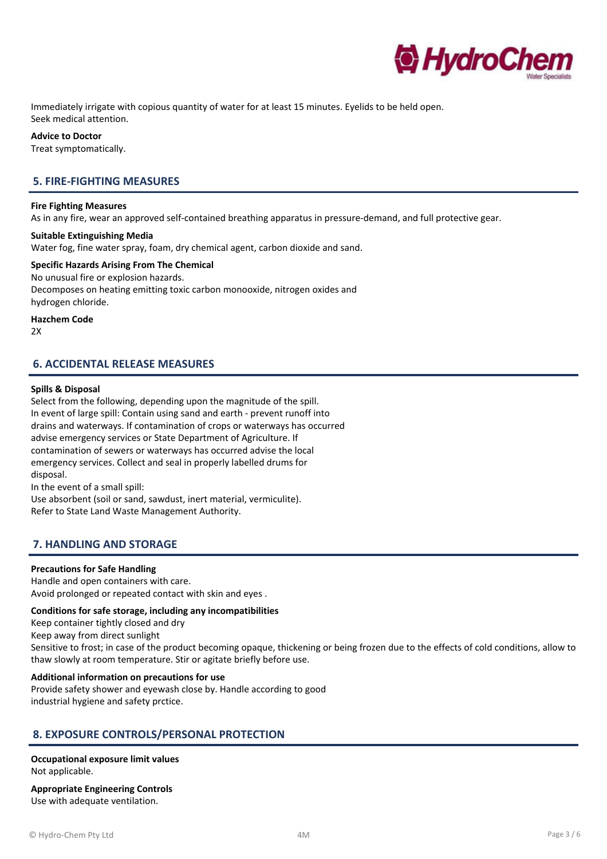

Immediately irrigate with copious quantity of water for at least 15 minutes. Eyelids to be held open. Seek medical attention.

#### Advice to Doctor

Treat symptomatically.

# 5. FIRE-FIGHTING MEASURES

#### Fire Fighting Measures

As in any fire, wear an approved self-contained breathing apparatus in pressure-demand, and full protective gear.

#### Suitable Extinguishing Media

Water fog, fine water spray, foam, dry chemical agent, carbon dioxide and sand.

# Specific Hazards Arising From The Chemical

No unusual fire or explosion hazards. Decomposes on heating emitting toxic carbon monooxide, nitrogen oxides and hydrogen chloride.

#### Hazchem Code

 $2X$ 

# 6. ACCIDENTAL RELEASE MEASURES

#### Spills & Disposal

Select from the following, depending upon the magnitude of the spill. In event of large spill: Contain using sand and earth - prevent runoff into drains and waterways. If contamination of crops or waterways has occurred advise emergency services or State Department of Agriculture. If contamination of sewers or waterways has occurred advise the local emergency services. Collect and seal in properly labelled drums for disposal.

In the event of a small spill:

Use absorbent (soil or sand, sawdust, inert material, vermiculite). Refer to State Land Waste Management Authority.

### 7. HANDLING AND STORAGE

#### Precautions for Safe Handling

Handle and open containers with care. Avoid prolonged or repeated contact with skin and eyes .

#### Conditions for safe storage, including any incompatibilities

Keep container tightly closed and dry

Keep away from direct sunlight

Sensitive to frost; in case of the product becoming opaque, thickening or being frozen due to the effects of cold conditions, allow to thaw slowly at room temperature. Stir or agitate briefly before use.

#### Additional information on precautions for use

Provide safety shower and eyewash close by. Handle according to good industrial hygiene and safety prctice.

# 8. EXPOSURE CONTROLS/PERSONAL PROTECTION

#### Occupational exposure limit values Not applicable.

Appropriate Engineering Controls Use with adequate ventilation.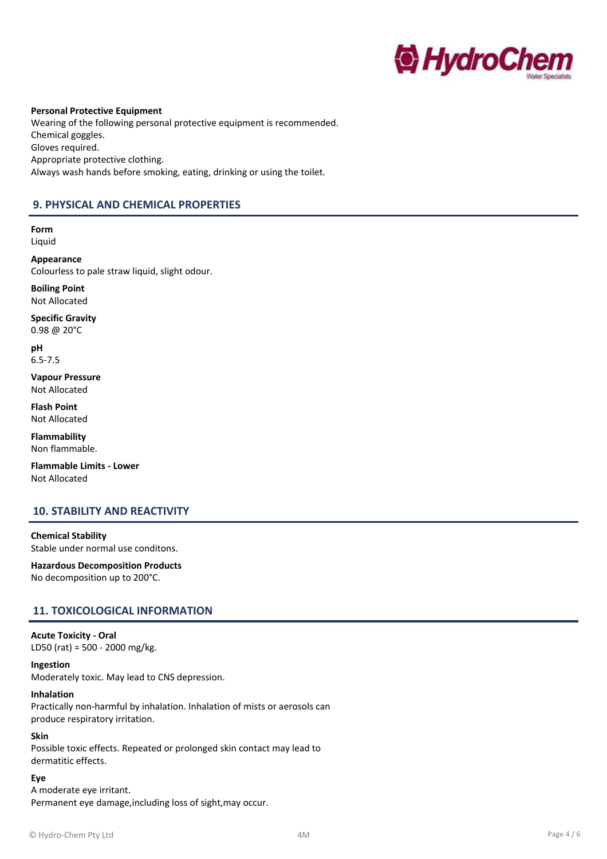

Personal Protective Equipment Wearing of the following personal protective equipment is recommended. Chemical goggles. Gloves required. Appropriate protective clothing. Always wash hands before smoking, eating, drinking or using the toilet.

# 9. PHYSICAL AND CHEMICAL PROPERTIES

Form Liquid

Appearance Colourless to pale straw liquid, slight odour.

Boiling Point Not Allocated

Specific Gravity 0.98 @ 20°C

pH 6.5-7.5

Vapour Pressure Not Allocated

Flash Point Not Allocated

Flammability Non flammable.

Flammable Limits - Lower Not Allocated

# 10. STABILITY AND REACTIVITY

Chemical Stability Stable under normal use conditons.

Hazardous Decomposition Products No decomposition up to 200°C.

# 11. TOXICOLOGICAL INFORMATION

# Acute Toxicity - Oral

LD50 (rat) = 500 - 2000 mg/kg.

Ingestion

Moderately toxic. May lead to CNS depression.

#### Inhalation

Practically non-harmful by inhalation. Inhalation of mists or aerosols can produce respiratory irritation.

#### Skin

Possible toxic effects. Repeated or prolonged skin contact may lead to dermatitic effects.

Eye

A moderate eye irritant. Permanent eye damage,including loss of sight,may occur.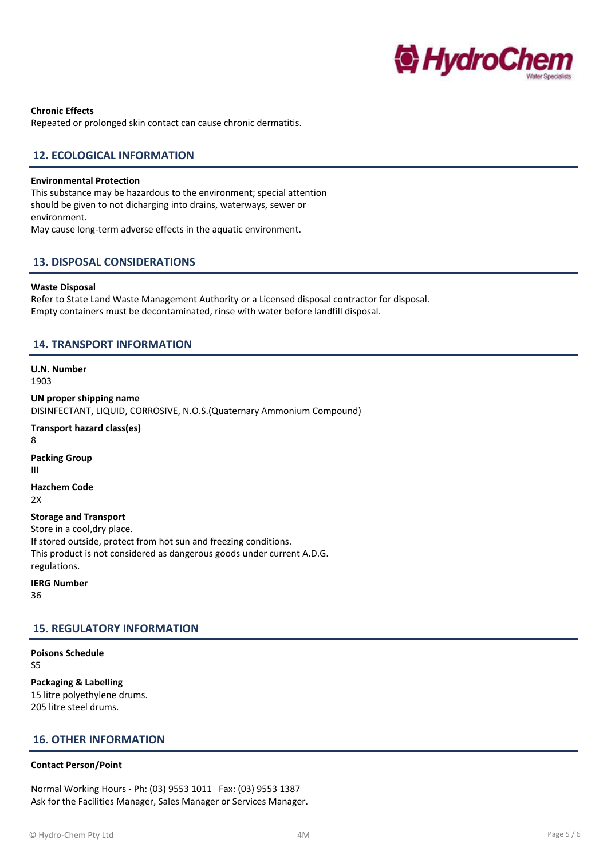

Chronic Effects Repeated or prolonged skin contact can cause chronic dermatitis.

## 12. ECOLOGICAL INFORMATION

#### Environmental Protection

This substance may be hazardous to the environment; special attention should be given to not dicharging into drains, waterways, sewer or environment. May cause long-term adverse effects in the aquatic environment.

# 13. DISPOSAL CONSIDERATIONS

#### Waste Disposal

Refer to State Land Waste Management Authority or a Licensed disposal contractor for disposal. Empty containers must be decontaminated, rinse with water before landfill disposal.

#### 14. TRANSPORT INFORMATION

U.N. Number 1903

UN proper shipping name DISINFECTANT, LIQUID, CORROSIVE, N.O.S.(Quaternary Ammonium Compound)

Transport hazard class(es) 8 Packing Group III

Hazchem Code 2X

# Storage and Transport

Store in a cool,dry place. If stored outside, protect from hot sun and freezing conditions. This product is not considered as dangerous goods under current A.D.G. regulations.

IERG Number

36

### 15. REGULATORY INFORMATION

#### Poisons Schedule S5

Packaging & Labelling 15 litre polyethylene drums. 205 litre steel drums.

### 16. OTHER INFORMATION

#### Contact Person/Point

Normal Working Hours - Ph: (03) 9553 1011 Fax: (03) 9553 1387 Ask for the Facilities Manager, Sales Manager or Services Manager.